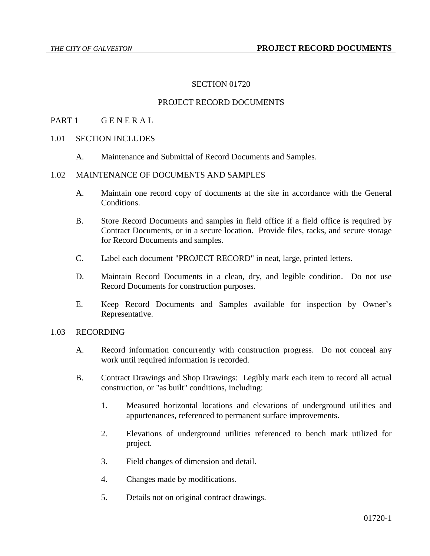### SECTION 01720

## PROJECT RECORD DOCUMENTS

#### PART 1 GENERAL

#### 1.01 SECTION INCLUDES

A. Maintenance and Submittal of Record Documents and Samples.

# 1.02 MAINTENANCE OF DOCUMENTS AND SAMPLES

- A. Maintain one record copy of documents at the site in accordance with the General **Conditions**
- B. Store Record Documents and samples in field office if a field office is required by Contract Documents, or in a secure location. Provide files, racks, and secure storage for Record Documents and samples.
- C. Label each document "PROJECT RECORD" in neat, large, printed letters.
- D. Maintain Record Documents in a clean, dry, and legible condition. Do not use Record Documents for construction purposes.
- E. Keep Record Documents and Samples available for inspection by Owner's Representative.

#### 1.03 RECORDING

- A. Record information concurrently with construction progress. Do not conceal any work until required information is recorded.
- B. Contract Drawings and Shop Drawings: Legibly mark each item to record all actual construction, or "as built" conditions, including:
	- 1. Measured horizontal locations and elevations of underground utilities and appurtenances, referenced to permanent surface improvements.
	- 2. Elevations of underground utilities referenced to bench mark utilized for project.
	- 3. Field changes of dimension and detail.
	- 4. Changes made by modifications.
	- 5. Details not on original contract drawings.